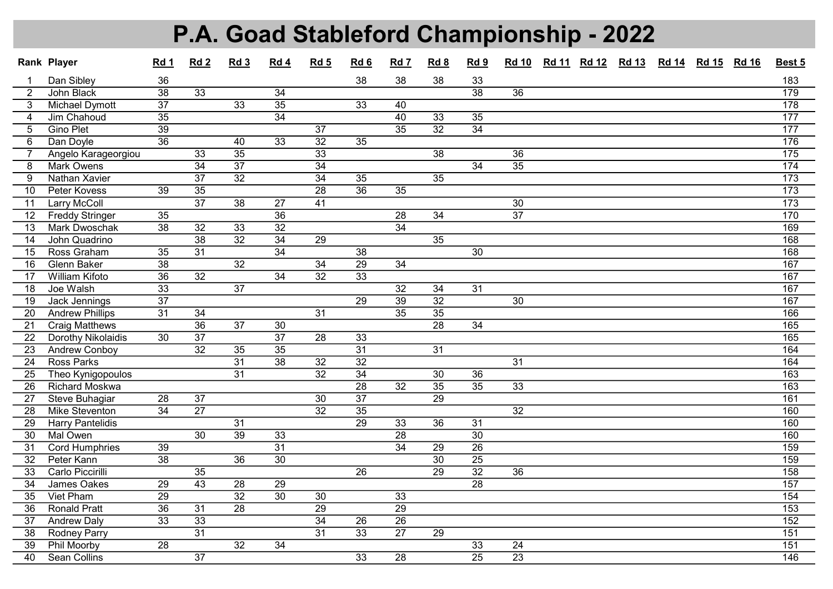## P.A. Goad Stableford Championship - 2022

|                | Rank Player             | Rd 1            | Rd <sub>2</sub> | Rd <sub>3</sub> | Rd 4            | Rd <sub>5</sub> | Rd 6            | Rd 7            | Rd 8            | Rd 9            | <b>Rd 10</b>    | Rd 11 Rd 12 | <b>Rd 13</b> | <b>Rd 14</b> | <b>Rd 15</b> | <b>Rd 16</b> | Best 5            |
|----------------|-------------------------|-----------------|-----------------|-----------------|-----------------|-----------------|-----------------|-----------------|-----------------|-----------------|-----------------|-------------|--------------|--------------|--------------|--------------|-------------------|
| $\mathbf 1$    | Dan Sibley              | 36              |                 |                 |                 |                 | 38              | 38              | 38              | 33              |                 |             |              |              |              |              | 183               |
| 2              | John Black              | $\overline{38}$ | 33              |                 | 34              |                 |                 |                 |                 | $\overline{38}$ | $\overline{36}$ |             |              |              |              |              | 179               |
| 3              | <b>Michael Dymott</b>   | $\overline{37}$ |                 | 33              | $\overline{35}$ |                 | 33              | 40              |                 |                 |                 |             |              |              |              |              | 178               |
| $\overline{4}$ | Jim Chahoud             | $\overline{35}$ |                 |                 | $\overline{34}$ |                 |                 | 40              | $\overline{33}$ | $\overline{35}$ |                 |             |              |              |              |              | 177               |
| 5              | <b>Gino Plet</b>        | $\overline{39}$ |                 |                 |                 | $\overline{37}$ |                 | $\overline{35}$ | $\overline{32}$ | $\overline{34}$ |                 |             |              |              |              |              | 177               |
| 6              | Dan Doyle               | $\overline{36}$ |                 | $\overline{40}$ | 33              | $\overline{32}$ | $\overline{35}$ |                 |                 |                 |                 |             |              |              |              |              | 176               |
| $\overline{7}$ | Angelo Karageorgiou     |                 | 33              | 35              |                 | 33              |                 |                 | 38              |                 | 36              |             |              |              |              |              | $\frac{175}{175}$ |
| 8              | Mark Owens              |                 | 34              | $\overline{37}$ |                 | 34              |                 |                 |                 | $\overline{34}$ | 35              |             |              |              |              |              | 174               |
| 9              | <b>Nathan Xavier</b>    |                 | $\overline{37}$ | $\overline{32}$ |                 | $\overline{34}$ | 35              |                 | 35              |                 |                 |             |              |              |              |              | 173               |
| 10             | Peter Kovess            | 39              | 35              |                 |                 | $\overline{28}$ | $\overline{36}$ | $\overline{35}$ |                 |                 |                 |             |              |              |              |              | 173               |
| 11             | Larry McColl            |                 | $\overline{37}$ | $\overline{38}$ | $\overline{27}$ | $\overline{41}$ |                 |                 |                 |                 | $\overline{30}$ |             |              |              |              |              | 173               |
| 12             | <b>Freddy Stringer</b>  | $\overline{35}$ |                 |                 | $\overline{36}$ |                 |                 | $\overline{28}$ | $\overline{34}$ |                 | $\overline{37}$ |             |              |              |              |              | 170               |
| 13             | <b>Mark Dwoschak</b>    | $\overline{38}$ | 32              | 33              | 32              |                 |                 | $\overline{34}$ |                 |                 |                 |             |              |              |              |              | 169               |
| 14             | John Quadrino           |                 | $\overline{38}$ | $\overline{32}$ | $\overline{34}$ | 29              |                 |                 | 35              |                 |                 |             |              |              |              |              | 168               |
| 15             | Ross Graham             | $\overline{35}$ | 31              |                 | $\overline{34}$ |                 | $\overline{38}$ |                 |                 | $\overline{30}$ |                 |             |              |              |              |              | 168               |
| 16             | Glenn Baker             | $\overline{38}$ |                 | $\overline{32}$ |                 | $\overline{34}$ | $\overline{29}$ | $\overline{34}$ |                 |                 |                 |             |              |              |              |              | 167               |
| 17             | <b>William Kifoto</b>   | $\overline{36}$ | $\overline{32}$ |                 | $\overline{34}$ | $\overline{32}$ | $\overline{33}$ |                 |                 |                 |                 |             |              |              |              |              | 167               |
| 18             | Joe Walsh               | $\overline{33}$ |                 | $\overline{37}$ |                 |                 |                 | $\overline{32}$ | 34              | $\overline{31}$ |                 |             |              |              |              |              | 167               |
| 19             | Jack Jennings           | $\overline{37}$ |                 |                 |                 |                 | $\overline{29}$ | $\overline{39}$ | $\overline{32}$ |                 | $\overline{30}$ |             |              |              |              |              | 167               |
| 20             | <b>Andrew Phillips</b>  | $\overline{31}$ | $\overline{34}$ |                 |                 | $\overline{31}$ |                 | $\overline{35}$ | $\overline{35}$ |                 |                 |             |              |              |              |              | 166               |
| 21             | Craig Matthews          |                 | $\overline{36}$ | $\overline{37}$ | 30              |                 |                 |                 | 28              | $\overline{34}$ |                 |             |              |              |              |              | 165               |
| 22             | Dorothy Nikolaidis      | $\overline{30}$ | $\overline{37}$ |                 | $\overline{37}$ | $\overline{28}$ | $\overline{33}$ |                 |                 |                 |                 |             |              |              |              |              | 165               |
| 23             | <b>Andrew Conboy</b>    |                 | $\overline{32}$ | $\overline{35}$ | $\overline{35}$ |                 | $\overline{31}$ |                 | $\overline{31}$ |                 |                 |             |              |              |              |              | $\frac{164}{x}$   |
| 24             | Ross Parks              |                 |                 | $\overline{31}$ | $\overline{38}$ | $\overline{32}$ | $\overline{32}$ |                 |                 |                 | $\overline{31}$ |             |              |              |              |              | 164               |
| 25             | Theo Kynigopoulos       |                 |                 | $\overline{31}$ |                 | $\overline{32}$ | $\overline{34}$ |                 | $\overline{30}$ | $\overline{36}$ |                 |             |              |              |              |              | 163               |
| 26             | <b>Richard Moskwa</b>   |                 |                 |                 |                 |                 | $\overline{28}$ | $\overline{32}$ | $\overline{35}$ | $\overline{35}$ | $\overline{33}$ |             |              |              |              |              | 163               |
| 27             | <b>Steve Buhagiar</b>   | $\overline{28}$ | $\overline{37}$ |                 |                 | 30              | $\overline{37}$ |                 | $\overline{29}$ |                 |                 |             |              |              |              |              | 161               |
| 28             | <b>Mike Steventon</b>   | $\overline{34}$ | $\overline{27}$ |                 |                 | $\overline{32}$ | $\overline{35}$ |                 |                 |                 | $\overline{32}$ |             |              |              |              |              | 160               |
| 29             | <b>Harry Pantelidis</b> |                 |                 | $\overline{31}$ |                 |                 | $\overline{29}$ | 33              | $\overline{36}$ | $\overline{31}$ |                 |             |              |              |              |              | 160               |
| 30             | <b>Mal Owen</b>         |                 | $\overline{30}$ | $\overline{39}$ | $\overline{33}$ |                 |                 | $\overline{28}$ |                 | $\overline{30}$ |                 |             |              |              |              |              | 160               |
| 31             | <b>Cord Humphries</b>   | $\overline{39}$ |                 |                 | $\overline{31}$ |                 |                 | $\overline{34}$ | 29              | $\overline{26}$ |                 |             |              |              |              |              | 159               |
| 32             | Peter Kann              | $\overline{38}$ |                 | $\overline{36}$ | $\overline{30}$ |                 |                 |                 | $\overline{30}$ | 25              |                 |             |              |              |              |              | 159               |
| 33             | Carlo Piccirilli        |                 | $\overline{35}$ |                 |                 |                 | $\overline{26}$ |                 | $\overline{29}$ | $\overline{32}$ | $\overline{36}$ |             |              |              |              |              | 158               |
| 34             | James Oakes             | $\overline{29}$ | $\overline{43}$ | $\overline{28}$ | $\overline{29}$ |                 |                 |                 |                 | $\overline{28}$ |                 |             |              |              |              |              | 157               |
| 35             | Viet Pham               | $\overline{29}$ |                 | $\overline{32}$ | $\overline{30}$ | $\overline{30}$ |                 | $\overline{33}$ |                 |                 |                 |             |              |              |              |              | 154               |
| 36             | <b>Ronald Pratt</b>     | $\overline{36}$ | $\overline{31}$ | $\overline{28}$ |                 | $\overline{29}$ |                 | $\overline{29}$ |                 |                 |                 |             |              |              |              |              | 153               |
| 37             | <b>Andrew Daly</b>      | 33              | 33              |                 |                 | $\overline{34}$ | 26              | $\overline{26}$ |                 |                 |                 |             |              |              |              |              | 152               |
| 38             | <b>Rodney Parry</b>     |                 | $\overline{31}$ |                 |                 | $\overline{31}$ | $\overline{33}$ | $\overline{27}$ | 29              |                 |                 |             |              |              |              |              | 151               |
| 39             | Phil Moorby             | $\overline{28}$ |                 | $\overline{32}$ | $\overline{34}$ |                 |                 |                 |                 | 33              | $\overline{24}$ |             |              |              |              |              | 151               |
| 40             | <b>Sean Collins</b>     |                 | $\overline{37}$ |                 |                 |                 | $\overline{33}$ | $\overline{28}$ |                 | $\overline{25}$ | $\overline{23}$ |             |              |              |              |              | 146               |